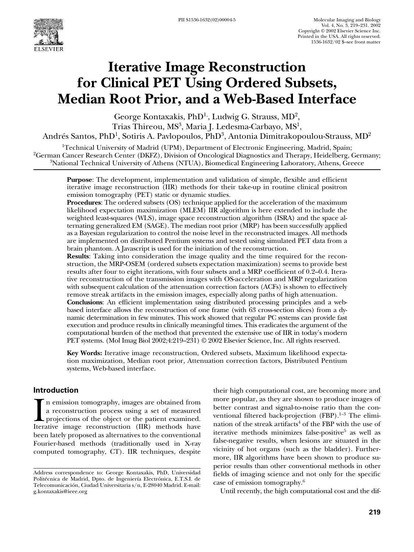

# **Iterative Image Reconstruction for Clinical PET Using Ordered Subsets, Median Root Prior, and a Web-Based Interface**

George Kontaxakis, PhD<sup>1,</sup>, Ludwig G. Strauss, MD<sup>2</sup>, Trias Thireou, MS<sup>3</sup>, Maria J. Ledesma-Carbayo, MS<sup>1</sup>,

Andrés Santos, PhD<sup>1</sup>, Sotiris A. Pavlopoulos, PhD<sup>3</sup>, Antonia Dimitrakopoulou-Strauss, MD<sup>2</sup>

<sup>1</sup>Technical University of Madrid (UPM), Department of Electronic Engineering, Madrid, Spain; <sup>2</sup>German Cancer Research Center (DKFZ), Division of Oncological Diagnostics and Therapy, Heidelberg, Germany;<br><sup>3</sup>National Technical University of Athens (NTUA), Biomedical Engineering Laboratory, Athens, Greece National Technical University of Athens (NTUA), Biomedical Engineering Laboratory, Athens, Greece

**Purpose**: The development, implementation and validation of simple, flexible and efficient iterative image reconstruction (IIR) methods for their take-up in routine clinical positron emission tomography (PET) static or dynamic studies.

**Procedures**: The ordered subsets (OS) technique applied for the acceleration of the maximum likelihood expectation maximization (MLEM) IIR algorithm is here extended to include the weighted least-squares (WLS), image space reconstruction algorithm (ISRA) and the space alternating generalized EM (SAGE). The median root prior (MRP) has been successfully applied as a Bayesian regularization to control the noise level in the reconstructed images. All methods are implemented on distributed Pentium systems and tested using simulated PET data from a brain phantom. A Javascript is used for the initiation of the reconstruction.

**Results**: Taking into consideration the image quality and the time required for the reconstruction, the MRP-OSEM (ordered subsets expectation maximization) seems to provide best results after four to eight iterations, with four subsets and a MRP coefficient of 0.2–0.4. Iterative reconstruction of the transmission images with OS-acceleration and MRP regularization with subsequent calculation of the attenuation correction factors (ACFs) is shown to effectively remove streak artifacts in the emission images, especially along paths of high attenuation. **Conclusions**: An efficient implementation using distributed processing principles and a webbased interface allows the reconstruction of one frame (with 63 cross-section slices) from a dynamic determination in few minutes. This work showed that regular PC systems can provide fast execution and produce results in clinically meaningful times. This eradicates the argument of the computational burden of the method that prevented the extensive use of IIR in today's modern PET systems. (Mol Imag Biol 2002;4:219–231) © 2002 Elsevier Science, Inc. All rights reserved.

**Key Words:** Iterative image reconstruction, Ordered subsets, Maximum likelihood expectation maximization, Median root prior, Attenuation correction factors, Distributed Pentium systems, Web-based interface.

# **Introduction**

n emission tomography, images are obtained from a reconstruction process using a set of measured projections of the object or the patient examined. In emission tomography, images are obtained from<br>a reconstruction process using a set of measured<br>projections of the object or the patient examined.<br>Iterative image reconstruction (IIR) methods have been lately proposed as alternatives to the conventional Fourier-based methods (traditionally used in X-ray computed tomography, CT). IIR techniques, despite

their high computational cost, are becoming more and more popular, as they are shown to produce images of better contrast and signal-to-noise ratio than the conventional filtered back-projection (FBP).<sup>1-3</sup> The elimination of the streak artifacts $4$  of the FBP with the use of iterative methods minimizes false-positive<sup>5</sup> as well as false-negative results, when lesions are situated in the vicinity of hot organs (such as the bladder). Furthermore, IIR algorithms have been shown to produce superior results than other conventional methods in other fields of imaging science and not only for the specific case of emission tomography.6

Until recently, the high computational cost and the dif-

Address correspondence to: George Kontaxakis, PhD, Universidad Politécnica de Madrid, Dpto. de Ingeniería Electrónica, E.T.S.I. de Telecomunicación, Ciudad Universitaria s/n, E-28040 Madrid. E-mail: g.kontaxakis@ieee.org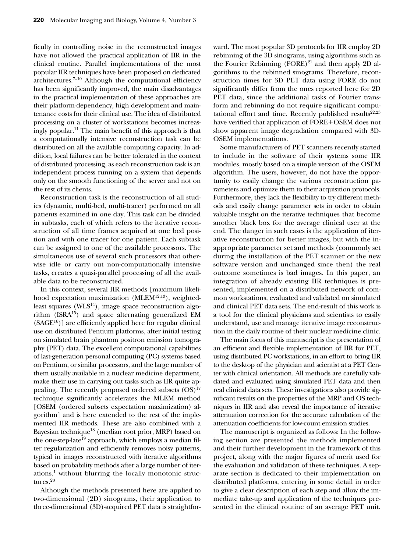ficulty in controlling noise in the reconstructed images have not allowed the practical application of IIR in the clinical routine. Parallel implementations of the most popular IIR techniques have been proposed on dedicated architectures.7–10 Although the computational efficiency has been significantly improved, the main disadvantages in the practical implementation of these approaches are their platform-dependency, high development and maintenance costs for their clinical use. The idea of distributed processing on a cluster of workstations becomes increasingly popular.<sup>11</sup> The main benefit of this approach is that a computationally intensive reconstruction task can be distributed on all the available computing capacity. In addition, local failures can be better tolerated in the context of distributed processing, as each reconstruction task is an independent process running on a system that depends only on the smooth functioning of the server and not on the rest of its clients.

Reconstruction task is the reconstruction of all studies (dynamic, multi-bed, multi-tracer) performed on all patients examined in one day. This task can be divided in subtasks, each of which refers to the iterative reconstruction of all time frames acquired at one bed position and with one tracer for one patient. Each subtask can be assigned to one of the available processors. The simultaneous use of several such processors that otherwise idle or carry out non-computationally intensive tasks, creates a quasi-parallel processing of all the available data to be reconstructed.

In this context, several IIR methods [maximum likelihood expectation maximization ( $MLEM^{12,13}$ ), weightedleast squares (WLS<sup>14</sup>), image space reconstruction algorithm (ISRA15) and space alternating generalized EM  $(SAGE^{16})$ ] are efficiently applied here for regular clinical use on distributed Pentium platforms, after initial testing on simulated brain phantom positron emission tomography (PET) data. The excellent computational capabilities of last-generation personal computing (PC) systems based on Pentium, or similar processors, and the large number of them usually available in a nuclear medicine department, make their use in carrying out tasks such as IIR quite appealing. The recently proposed ordered subsets  $(OS)^{17}$ technique significantly accelerates the MLEM method [OSEM (ordered subsets expectation maximization) algorithm] and is here extended to the rest of the implemented IIR methods. These are also combined with a Bayesian technique18 (median root prior, MRP) based on the one-step-late<sup>19</sup> approach, which employs a median filter regularization and efficiently removes noisy patterns, typical in images reconstructed with iterative algorithms based on probability methods after a large number of iterations,<sup>1</sup> without blurring the locally monotonic structures.20

Although the methods presented here are applied to two-dimensional (2D) sinograms, their application to three-dimensional (3D)-acquired PET data is straightforward. The most popular 3D protocols for IIR employ 2D rebinning of the 3D sinograms, using algorithms such as the Fourier Rebinning  $(FORE)^{21}$  and then apply 2D algorithms to the rebinned sinograms. Therefore, reconstruction times for 3D PET data using FORE do not significantly differ from the ones reported here for 2D PET data, since the additional tasks of Fourier transform and rebinning do not require significant computational effort and time. Recently published results $22,23$ have verified that application of FORE-OSEM does not show apparent image degradation compared with 3D-OSEM implementations.

Some manufacturers of PET scanners recently started to include in the software of their systems some IIR modules, mostly based on a simple version of the OSEM algorithm. The users, however, do not have the opportunity to easily change the various reconstruction parameters and optimize them to their acquisition protocols. Furthermore, they lack the flexibility to try different methods and easily change parameter sets in order to obtain valuable insight on the iterative techniques that become another black box for the average clinical user at the end. The danger in such cases is the application of iterative reconstruction for better images, but with the inappropriate parameter set and methods (commonly set during the installation of the PET scanner or the new software version and unchanged since then) the real outcome sometimes is bad images. In this paper, an integration of already existing IIR techniques is presented, implemented on a distributed network of common workstations, evaluated and validated on simulated and clinical PET data sets. The end-result of this work is a tool for the clinical physicians and scientists to easily understand, use and manage iterative image reconstruction in the daily routine of their nuclear medicine clinic.

The main focus of this manuscript is the presentation of an efficient and flexible implementation of IIR for PET, using distributed PC workstations, in an effort to bring IIR to the desktop of the physician and scientist at a PET Center with clinical orientation. All methods are carefully validated and evaluated using simulated PET data and then real clinical data sets. These investigations also provide significant results on the properties of the MRP and OS techniques in IIR and also reveal the importance of iterative attenuation correction for the accurate calculation of the attenuation coefficients for low-count emission studies.

The manuscript is organized as follows: In the following section are presented the methods implemented and their further development in the framework of this project, along with the major figures of merit used for the evaluation and validation of these techniques. A separate section is dedicated to their implementation on distributed platforms, entering in some detail in order to give a clear description of each step and allow the immediate take-up and application of the techniques presented in the clinical routine of an average PET unit.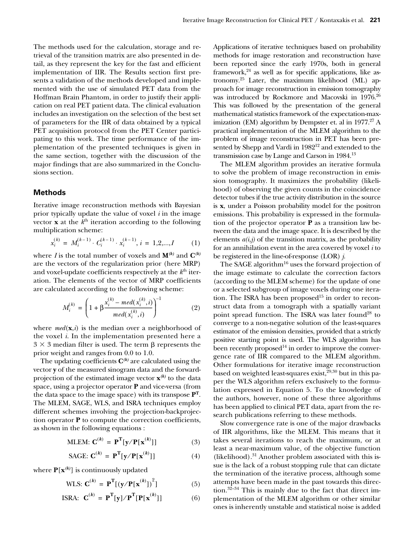The methods used for the calculation, storage and retrieval of the transition matrix are also presented in detail, as they represent the key for the fast and efficient implementation of IIR. The Results section first presents a validation of the methods developed and implemented with the use of simulated PET data from the Hoffman Brain Phantom, in order to justify their application on real PET patient data. The clinical evaluation includes an investigation on the selection of the best set of parameters for the IIR of data obtained by a typical PET acquisition protocol from the PET Center participating to this work. The time performance of the implementation of the presented techniques is given in the same section, together with the discussion of the major findings that are also summarized in the Conclusions section.

#### **Methods**

Iterative image reconstruction methods with Bayesian prior typically update the value of voxel *i* in the image vector **x** at the  $k^{\text{th}}$  iteration according to the following multiplication scheme:

$$
x_i^{(k)} = M_i^{(k-1)} \cdot C_i^{(k-1)} \cdot x_i^{(k-1)}, \, i = 1, 2, \dots, I \tag{1}
$$

where *I* is the total number of voxels and  $\mathbf{M}^{(k)}$  and  $\mathbf{C}^{(k)}$ are the vectors of the regularization prior (here MRP) and voxel-update coefficients respectively at the  $k<sup>th</sup>$  iteration. The elements of the vector of MRP coefficients are calculated according to the following scheme:

$$
M_i^{(k)} = \left(1 + \beta \frac{x_i^{(k)} - med(x_i^{(k)}, i)}{med(x_i^{(k)}, i)}\right)^{-1}
$$
(2)

where  $med(\mathbf{x},i)$  is the median over a neighborhood of the voxel *i*. In the implementation presented here a  $3 \times 3$  median filter is used. The term  $\beta$  represents the prior weight and ranges from 0.0 to 1.0.

The updating coefficients **C***(k)* are calculated using the vector **y** of the measured sinogram data and the forwardprojection of the estimated image vector **x***(k)* to the data space, using a projector operator **P** and vice-versa (from the data space to the image space) with its transpose **PT**. The MLEM, SAGE, WLS, and ISRA techniques employ different schemes involving the projection-backprojection operator **P** to compute the correction coefficients, as shown in the following equations :

$$
MLEM: \mathbf{C}^{(k)} = \mathbf{P}^{\mathrm{T}}[\mathbf{y}/\mathbf{P}[\mathbf{x}^{(k)}]] \tag{3}
$$

$$
SAGE: \mathbf{C}^{(k)} = \mathbf{P}^{\mathrm{T}}[y/\mathbf{P}[\mathbf{x}^{(k)}]] \tag{4}
$$

where **P**[**x***(k)*] is continuously updated

WLS: 
$$
\mathbf{C}^{(h)} = \mathbf{P}^{\mathrm{T}}[(\mathbf{y}/\mathbf{P}[\mathbf{x}^{(h)}])^{2}]
$$
 (5)

$$
\text{ISRA: } \mathbf{C}^{(k)} = \mathbf{P}^{\mathrm{T}}[\mathbf{y}]/\mathbf{P}^{\mathrm{T}}[\mathbf{P}[\mathbf{x}^{(k)}]] \tag{6}
$$

Applications of iterative techniques based on probability methods for image restoration and reconstruction have been reported since the early 1970s, both in general framework, $24$  as well as for specific applications, like astronomy.25 Later, the maximum likelihood (ML) approach for image reconstruction in emission tomography was introduced by Rockmore and Macovski in 1976.<sup>26</sup> This was followed by the presentation of the general mathematical statistics framework of the expectation-maximization (EM) algorithm by Dempster et. al in  $1977.^{27}$  A practical implementation of the MLEM algorithm to the problem of image reconstruction in PET has been presented by Shepp and Vardi in 1982<sup>12</sup> and extended to the transmission case by Lange and Carson in 1984.13

The MLEM algorithm provides an iterative formula to solve the problem of image reconstruction in emission tomography. It maximizes the probability (likelihood) of observing the given counts in the coincidence detector tubes if the true activity distribution in the source is **x**, under a Poisson probability model for the positron emissions. This probability is expressed in the formulation of the projector operator **P** as a transition law between the data and the image space. It is described by the elements  $a(i, j)$  of the transition matrix, as the probability for an annihilation event in the area covered by voxel *i* to be registered in the line-of-response (LOR) *j*.

The SAGE algorithm<sup>16</sup> uses the forward projection of the image estimate to calculate the correction factors (according to the MLEM scheme) for the update of one or a selected subgroup of image voxels during one iteration. The ISRA has been proposed<sup>15</sup> in order to reconstruct data from a tomograph with a spatially variant point spread function. The ISRA was later found<sup>28</sup> to converge to a non-negative solution of the least-squares estimator of the emission densities, provided that a strictly positive starting point is used. The WLS algorithm has been recently proposed $14$  in order to improve the convergence rate of IIR compared to the MLEM algorithm. Other formulations for iterative image reconstruction based on weighted least-squares exist,  $29,30$  but in this paper the WLS algorithm refers exclusively to the formulation expressed in Equation 5. To the knowledge of the authors, however, none of these three algorithms has been applied to clinical PET data, apart from the research publications referring to these methods.

Slow convergence rate is one of the major drawbacks of IIR algorithms, like the MLEM. This means that it takes several iterations to reach the maximum, or at least a near-maximum value, of the objective function (likelihood).31 Another problem associated with this issue is the lack of a robust stopping rule that can dictate the termination of the iterative process, although some attempts have been made in the past towards this direction.32–34 This is mainly due to the fact that direct implementation of the MLEM algorithm or other similar ones is inherently unstable and statistical noise is added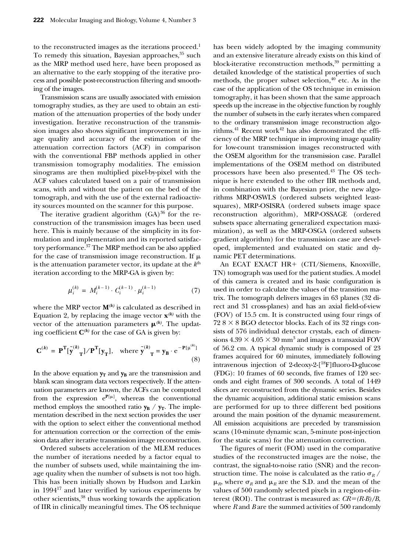to the reconstructed images as the iterations proceed.<sup>1</sup> To remedy this situation, Bayesian approaches,  $35$  such as the MRP method used here, have been proposed as an alternative to the early stopping of the iterative process and possible post-reconstruction filtering and smoothing of the images.

Transmission scans are usually associated with emission tomography studies, as they are used to obtain an estimation of the attenuation properties of the body under investigation. Iterative reconstruction of the transmission images also shows significant improvement in image quality and accuracy of the estimation of the attenuation correction factors (ACF) in comparison with the conventional FBP methods applied in other transmission tomography modalities. The emission sinograms are then multiplied pixel-by-pixel with the ACF values calculated based on a pair of transmission scans, with and without the patient on the bed of the tomograph, and with the use of the external radioactivity sources mounted on the scanner for this purpose.

The iterative gradient algorithm  $(GA)$ <sup>36</sup> for the reconstruction of the transmission images has been used here. This is mainly because of the simplicity in its formulation and implementation and its reported satisfactory performance.37 The MRP method can be also applied for the case of transmission image reconstruction. If  $\mu$ is the attenuation parameter vector, its update at the  $k<sup>th</sup>$ iteration according to the MRP-GA is given by:

$$
\mu_i^{(k)} = M_i^{(k-1)} \cdot C_i^{(k-1)} \cdot \mu_i^{(k-1)} \tag{7}
$$

where the MRP vector  $M^{(k)}$  is calculated as described in Equation 2, by replacing the image vector  $\mathbf{x}^{(k)}$  with the vector of the attenuation parameters  $\boldsymbol{\mu}^{(k)}$ . The updating coefficient  $C^{(k)}$  for the case of GA is given by:

$$
\mathbf{C}^{(k)} = \mathbf{P}^{\mathrm{T}}[\tilde{\mathbf{y}}^{(k)}_{\mathbf{T}}] / \mathbf{P}^{\mathrm{T}}[\mathbf{y}_{\mathrm{T}}], \text{ where } \tilde{\mathbf{y}}^{(k)}_{\mathbf{T}} = \mathbf{y}_{\mathrm{B}} \cdot \mathrm{e}^{-\mathbf{P}[\boldsymbol{\mu}^{(k)}]} \tag{8}
$$

In the above equation  $y_T$  and  $y_B$  are the transmission and blank scan sinogram data vectors respectively. If the attenuation parameters are known, the ACFs can be computed from the expression  $e^{\mathbf{P}[\mu]}$ , whereas the conventional method employs the smoothed ratio  $y_B / y_T$ . The implementation described in the next section provides the user with the option to select either the conventional method for attenuation correction or the correction of the emission data after iterative transmission image reconstruction.

Ordered subsets acceleration of the MLEM reduces the number of iterations needed by a factor equal to the number of subsets used, while maintaining the image quality when the number of subsets is not too high. This has been initially shown by Hudson and Larkin in  $1994<sup>17</sup>$  and later verified by various experiments by other scientists,38 thus working towards the application of IIR in clinically meaningful times. The OS technique has been widely adopted by the imaging community and an extensive literature already exists on this kind of block-iterative reconstruction methods,<sup>39</sup> permitting a detailed knowledge of the statistical properties of such methods, the proper subset selection, $40$  etc. As in the case of the application of the OS technique in emission tomography, it has been shown that the same approach speeds up the increase in the objective function by roughly the number of subsets in the early iterates when compared to the ordinary transmission image reconstruction algorithms.<sup>41</sup> Recent work<sup>42</sup> has also demonstrated the efficiency of the MRP technique in improving image quality for low-count transmission images reconstructed with the OSEM algorithm for the transmission case. Parallel implementations of the OSEM method on distributed processors have been also presented.43 The OS technique is here extended to the other IIR methods and, in combination with the Bayesian prior, the new algorithms MRP-OSWLS (ordered subsets weighted leastsquares), MRP-OSISRA (ordered subsets image space reconstruction algorithm), MRP-OSSAGE (ordered subsets space alternating generalized expectation maximization), as well as the MRP-OSGA (ordered subsets gradient algorithm) for the transmission case are developed, implemented and evaluated on static and dynamic PET determinations.

An ECAT EXACT HR+ (CTI/Siemens, Knoxville, TN) tomograph was used for the patient studies. A model of this camera is created and its basic configuration is used in order to calculate the values of the transition matrix. The tomograph delivers images in 63 planes (32 direct and 31 cross-planes) and has an axial field-of-view (FOV) of 15.5 cm. It is constructed using four rings of  $728 \times 8$  BGO detector blocks. Each of its 32 rings consists of 576 individual detector crystals, each of dimensions  $4.39 \times 4.05 \times 30$  mm $^3$  and images a transaxial FOV of 56.2 cm. A typical dynamic study is composed of 23 frames acquired for 60 minutes, immediately following intravenous injection of 2-deoxy-2-[18F]fluoro-D-glucose (FDG): 10 frames of 60 seconds, five frames of 120 seconds and eight frames of 300 seconds. A total of 1449 slices are reconstructed from the dynamic series. Besides the dynamic acquisition, additional static emission scans are performed for up to three different bed positions around the main position of the dynamic measurement. All emission acquisitions are preceded by transmission scans (10-minute dynamic scan, 5-minute post-injection for the static scans) for the attenuation correction.

The figures of merit (FOM) used in the comparative studies of the reconstructed images are the noise, the contrast, the signal-to-noise ratio (SNR) and the reconstruction time. The noise is calculated as the ratio  $\sigma_R$  /  $\mu_R$ , where  $\sigma_R$  and  $\mu_R$  are the S.D. and the mean of the values of 500 randomly selected pixels in a region-of-interest (ROI). The contrast is measured as:  $CR = (R-B)/B$ , where *R* and *B* are the summed activities of 500 randomly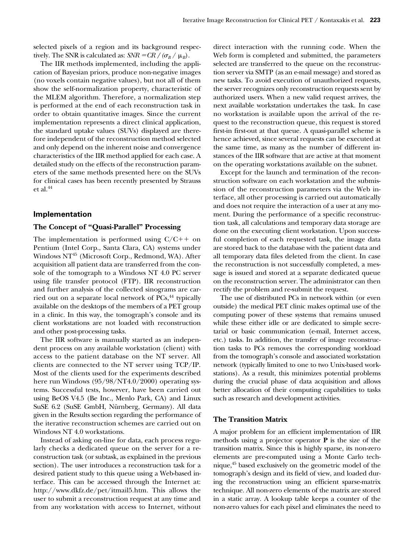selected pixels of a region and its background respectively. The SNR is calculated as: *SNR = CR / (* $\sigma_B$  */*  $\mu_B$ *)*.

The IIR methods implemented, including the application of Bayesian priors, produce non-negative images (no voxels contain negative values), but not all of them show the self-normalization property, characteristic of the MLEM algorithm. Therefore, a normalization step is performed at the end of each reconstruction task in order to obtain quantitative images. Since the current implementation represents a direct clinical application, the standard uptake values (SUVs) displayed are therefore independent of the reconstruction method selected and only depend on the inherent noise and convergence characteristics of the IIR method applied for each case. A detailed study on the effects of the reconstruction parameters of the same methods presented here on the SUVs for clinical cases has been recently presented by Strauss et al. $44$ 

### **Implementation**

## **The Concept of "Quasi-Parallel" Processing**

The implementation is performed using  $C/C++$  on Pentium (Intel Corp., Santa Clara, CA) systems under Windows NT<sup>45</sup> (Microsoft Corp., Redmond, WA). After acquisition all patient data are transferred from the console of the tomograph to a Windows NT 4.0 PC server using file transfer protocol (FTP). IIR reconstruction and further analysis of the collected sinograms are carried out on a separate local network of PCs,<sup>44</sup> typically available on the desktops of the members of a PET group in a clinic. In this way, the tomograph's console and its client workstations are not loaded with reconstruction and other post-processing tasks.

The IIR software is manually started as an independent process on any available workstation (client) with access to the patient database on the NT server. All clients are connected to the NT server using TCP/IP. Most of the clients used for the experiments described here run Windows (95/98/NT4.0/2000) operating systems. Successful tests, however, have been carried out using BeOS V4.5 (Be Inc., Menlo Park, CA) and Linux SuSE 6.2 (SuSE GmbH, Nürnberg, Germany). All data given in the Results section regarding the performance of the iterative reconstruction schemes are carried out on Windows NT 4.0 workstations.

Instead of asking on-line for data, each process regularly checks a dedicated queue on the server for a reconstruction task (or subtask, as explained in the previous section). The user introduces a reconstruction task for a desired patient study to this queue using a Web-based interface. This can be accessed through the Internet at: http://www.dkfz.de/pet/itmail5.htm. This allows the user to submit a reconstruction request at any time and from any workstation with access to Internet, without

direct interaction with the running code. When the Web form is completed and submitted, the parameters selected are transferred to the queue on the reconstruction server via SMTP (as an e-mail message) and stored as new tasks. To avoid execution of unauthorized requests, the server recognizes only reconstruction requests sent by authorized users. When a new valid request arrives, the next available workstation undertakes the task. In case no workstation is available upon the arrival of the request to the reconstruction queue, this request is stored first-in first-out at that queue. A quasi-parallel scheme is hence achieved, since several requests can be executed at the same time, as many as the number of different instances of the IIR software that are active at that moment on the operating workstations available on the subnet.

Except for the launch and termination of the reconstruction software on each workstation and the submission of the reconstruction parameters via the Web interface, all other processing is carried out automatically and does not require the interaction of a user at any moment. During the performance of a specific reconstruction task, all calculations and temporary data storage are done on the executing client workstation. Upon successful completion of each requested task, the image data are stored back to the database with the patient data and all temporary data files deleted from the client. In case the reconstruction is not successfully completed, a message is issued and stored at a separate dedicated queue on the reconstruction server. The administrator can then rectify the problem and re-submit the request.

The use of distributed PCs in network within (or even outside) the medical PET clinic makes optimal use of the computing power of these systems that remains unused while these either idle or are dedicated to simple secretarial or basic communication (e-mail, Internet access, etc.) tasks. In addition, the transfer of image reconstruction tasks to PCs removes the corresponding workload from the tomograph's console and associated workstation network (typically limited to one to two Unix-based workstations). As a result, this minimizes potential problems during the crucial phase of data acquisition and allows better allocation of their computing capabilities to tasks such as research and development activities.

#### **The Transition Matrix**

A major problem for an efficient implementation of IIR methods using a projector operator **P** is the size of the transition matrix. Since this is highly sparse, its non-zero elements are pre-computed using a Monte Carlo technique,45 based exclusively on the geometric model of the tomograph's design and its field of view, and loaded during the reconstruction using an efficient sparse-matrix technique. All non-zero elements of the matrix are stored in a static array. A lookup table keeps a counter of the non-zero values for each pixel and eliminates the need to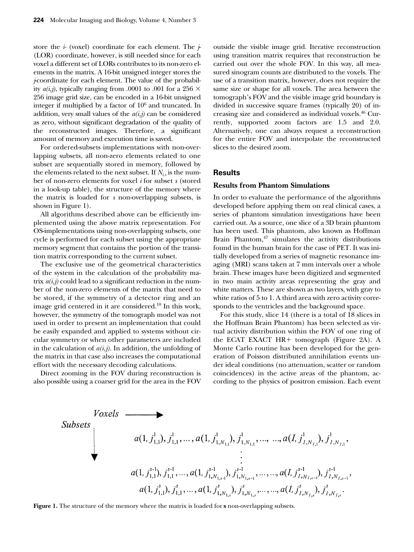store the  $i$ - (voxel) coordinate for each element. The  $j$ -(LOR) coordinate, however, is still needed since for each voxel a different set of LORs contributes to its non-zero elements in the matrix. A 16-bit unsigned integer stores the *j*-coordinate for each element. The value of the probability  $a(i,j)$ , typically ranging from .0001 to .001 for a 256  $\times$ 256 image grid size, can be encoded in a 16-bit unsigned integer if multiplied by a factor of  $10^6$  and truncated. In addition, very small values of the *a(i,j)* can be considered as zero, without significant degradation of the quality of the reconstructed images. Therefore, a significant amount of memory and execution time is saved.

For ordered-subsets implementations with non-overlapping subsets, all non-zero elements related to one subset are sequentially stored in memory, followed by the elements related to the next subset. If  $N_{i,s}$  is the number of non-zero elements for voxel *i* for subset *s* (stored in a look-up table), the structure of the memory where the matrix is loaded for *s* non-overlapping subsets, is shown in Figure 1).

All algorithms described above can be efficiently implemented using the above matrix representation. For OS-implementations using non-overlapping subsets, one cycle is performed for each subset using the appropriate memory segment that contains the portion of the transition matrix corresponding to the current subset.

The exclusive use of the geometrical characteristics of the system in the calculation of the probability matrix *a(i,j)* could lead to a significant reduction in the number of the non-zero elements of the matrix that need to be stored, if the symmetry of a detector ring and an image grid centered in it are considered.<sup>10</sup> In this work, however, the symmetry of the tomograph model was not used in order to present an implementation that could be easily expanded and applied to systems without circular symmetry or when other parameters are included in the calculation of *a(i,j)*. In addition, the unfolding of the matrix in that case also increases the computational effort with the necessary decoding calculations.

Direct zooming in the FOV during reconstruction is also possible using a coarser grid for the area in the FOV

outside the visible image grid. Iterative reconstruction using transition matrix requires that reconstruction be carried out over the whole FOV. In this way, all measured sinogram counts are distributed to the voxels. The use of a transition matrix, however, does not require the same size or shape for all voxels. The area between the tomograph's FOV and the visible image grid boundary is divided in successive square frames (typically 20) of increasing size and considered as individual voxels.46 Currently, supported zoom factors are 1.5 and 2.0. Alternatively, one can always request a reconstruction for the entire FOV and interpolate the reconstructed slices to the desired zoom.

### **Results**

#### **Results from Phantom Simulations**

In order to evaluate the performance of the algorithms developed before applying them on real clinical cases, a series of phantom simulation investigations have been carried out. As a source, one slice of a 3D brain phantom has been used. This phantom, also known as Hoffman Brain Phantom, $47$  simulates the activity distributions found in the human brain for the case of PET. It was initially developed from a series of magnetic resonance imaging (MRI) scans taken at 7 mm intervals over a whole brain. These images have been digitized and segmented in two main activity areas representing the gray and white matters. These are shown as two layers, with gray to white ratios of 5 to 1. A third area with zero activity corresponds to the ventricles and the background space.

For this study, slice 14 (there is a total of 18 slices in the Hoffman Brain Phantom) has been selected as virtual activity distribution within the FOV of one ring of the ECAT EXACT HR+ tomograph (Figure 2A). A Monte Carlo routine has been developed for the generation of Poisson distributed annihilation events under ideal conditions (no attenuation, scatter or random coincidences) in the active areas of the phantom, according to the physics of positron emission. Each event



**Figure 1.** The structure of the memory where the matrix is loaded for **s** non-overlapping subsets.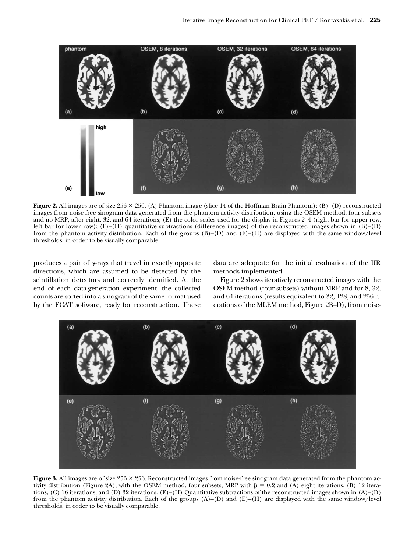

**Figure 2.** All images are of size  $256 \times 256$ . (A) Phantom image (slice 14 of the Hoffman Brain Phantom);  $(B)$ –(D) reconstructed images from noise-free sinogram data generated from the phantom activity distribution, using the OSEM method, four subsets and no MRP, after eight, 32, and 64 iterations; (E) the color scales used for the display in Figures 2–4 (right bar for upper row, left bar for lower row);  $(F)$ – $(H)$  quantitative subtractions (difference images) of the reconstructed images shown in  $(B)$ – $(D)$ from the phantom activity distribution. Each of the groups  $(B)-(D)$  and  $(F)-(H)$  are displayed with the same window/level thresholds, in order to be visually comparable.

produces a pair of  $\gamma$ -rays that travel in exactly opposite directions, which are assumed to be detected by the scintillation detectors and correctly identified. At the end of each data-generation experiment, the collected counts are sorted into a sinogram of the same format used by the ECAT software, ready for reconstruction. These

data are adequate for the initial evaluation of the IIR methods implemented.

Figure 2 shows iteratively reconstructed images with the OSEM method (four subsets) without MRP and for 8, 32, and 64 iterations (results equivalent to 32, 128, and 256 iterations of the MLEM method, Figure 2B–D), from noise-



**Figure 3.** All images are of size  $256 \times 256$ . Reconstructed images from noise-free sinogram data generated from the phantom activity distribution (Figure 2A), with the OSEM method, four subsets, MRP with  $\beta = 0.2$  and (A) eight iterations, (B) 12 iterations, (C) 16 iterations, and (D) 32 iterations.  $(E)$ –(H) Quantitative subtractions of the reconstructed images shown in (A)–(D) from the phantom activity distribution. Each of the groups  $(A)$ – $(D)$  and  $(E)$ – $(H)$  are displayed with the same window/level thresholds, in order to be visually comparable.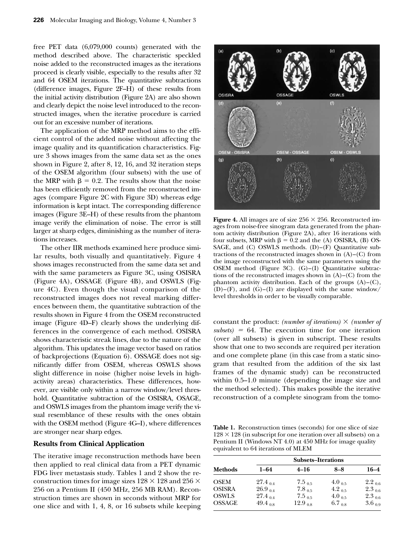free PET data (6,079,000 counts) generated with the method described above. The characteristic speckled noise added to the reconstructed images as the iterations proceed is clearly visible, especially to the results after 32 and 64 OSEM iterations. The quantitative subtractions (difference images, Figure 2F–H) of these results from the initial activity distribution (Figure 2A) are also shown and clearly depict the noise level introduced to the reconstructed images, when the iterative procedure is carried out for an excessive number of iterations.

The application of the MRP method aims to the efficient control of the added noise without affecting the image quality and its quantification characteristics. Figure 3 shows images from the same data set as the ones shown in Figure 2, after 8, 12, 16, and 32 iteration steps of the OSEM algorithm (four subsets) with the use of the MRP with  $\beta = 0.2$ . The results show that the noise has been efficiently removed from the reconstructed images (compare Figure 2C with Figure 3D) whereas edge information is kept intact. The corresponding difference images (Figure 3E–H) of these results from the phantom image verify the elimination of noise. The error is still larger at sharp edges, diminishing as the number of iterations increases.

The other IIR methods examined here produce similar results, both visually and quantitatively. Figure 4 shows images reconstructed from the same data set and with the same parameters as Figure 3C, using OSISRA (Figure 4A), OSSAGE (Figure 4B), and OSWLS (Figure 4C). Even though the visual comparison of the reconstructed images does not reveal marking differences between them, the quantitative subtraction of the results shown in Figure 4 from the OSEM reconstructed image (Figure 4D–F) clearly shows the underlying differences in the convergence of each method. OSISRA shows characteristic streak lines, due to the nature of the algorithm. This updates the image vector based on ratios of backprojections (Equation 6). OSSAGE does not significantly differ from OSEM, whereas OSWLS shows slight difference in noise (higher noise levels in highactivity areas) characteristics. These differences, however, are visible only within a narrow window/level threshold. Quantitative subtraction of the OSISRA, OSAGE, and OSWLS images from the phantom image verify the visual resemblance of these results with the ones obtain with the OSEM method (Figure 4G–I), where differences are stronger near sharp edges.

# **Results from Clinical Application**

The iterative image reconstruction methods have been then applied to real clinical data from a PET dynamic FDG liver metastasis study. Tables 1 and 2 show the reconstruction times for image sizes  $128 \times 128$  and  $256 \times$ 256 on a Pentium II (450 MHz, 256 MB RAM). Reconstruction times are shown in seconds without MRP for one slice and with 1, 4, 8, or 16 subsets while keeping



**Figure 4.** All images are of size  $256 \times 256$ . Reconstructed images from noise-free sinogram data generated from the phantom activity distribution (Figure 2A), after 16 iterations with four subsets, MRP with  $\beta = 0.2$  and the (A) OSISRA, (B) OS-SAGE, and  $(C)$  OSWLS methods.  $(D)$ – $(F)$  Quantitative subtractions of the reconstructed images shown in  $(A)$ – $(C)$  from the image reconstructed with the same parameters using the OSEM method (Figure 3C). (G)–(I) Quantitative subtractions of the reconstructed images shown in (A)–(C) from the phantom activity distribution. Each of the groups  $(A)$ – $(C)$ ,  $(D)$ – $(F)$ , and  $(G)$ – $(I)$  are displayed with the same window/ level thresholds in order to be visually comparable.

constant the product: *(number of iterations) (number of*  $subsets$  = 64. The execution time for one iteration (over all subsets) is given in subscript. These results show that one to two seconds are required per iteration and one complete plane (in this case from a static sinogram that resulted from the addition of the six last frames of the dynamic study) can be reconstructed within 0.5–1.0 minute (depending the image size and the method selected). This makes possible the iterative reconstruction of a complete sinogram from the tomo-

**Table 1.** Reconstruction times (seconds) for one slice of size  $128 \times 128$  (in subscript for one iteration over all subsets) on a Pentium II (Windows NT 4.0) at 450 MHz for image quality equivalent to 64 iterations of MLEM

| <b>Methods</b> | <b>Subsets–Iterations</b> |              |                    |             |  |  |
|----------------|---------------------------|--------------|--------------------|-------------|--|--|
|                | $1 - 64$                  | $4 - 16$     | 8–8                | $16 - 4$    |  |  |
| <b>OSEM</b>    | $27.4_{0.4}$              | $7.5_{0.5}$  | $4.0_{0.5}$        | $2.2_{0.6}$ |  |  |
| <b>OSISRA</b>  | $26.9_{0.4}$              | $7.8_{.05}$  | $4.2_{0.5}$        | $2.3_{0.6}$ |  |  |
| <b>OSWLS</b>   | $27.4_{0.4}$              | $7.5_{0.5}$  | 4.0 <sub>0.5</sub> | $2.3_{0.6}$ |  |  |
| <b>OSSAGE</b>  | $49.4_{0.8}$              | $12.9_{0.8}$ | $6.7_{0.8}$        | $3.6_{0.9}$ |  |  |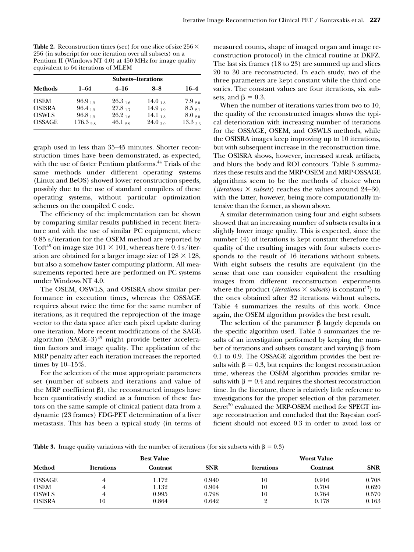**Table 2.** Reconstruction times (sec) for one slice of size  $256 \times$ 256 (in subscript for one iteration over all subsets) on a Pentium II (Windows NT 4.0) at 450 MHz for image quality equivalent to 64 iterations of MLEM

| <b>Methods</b> | Subsets–Iterations |             |                    |              |  |  |
|----------------|--------------------|-------------|--------------------|--------------|--|--|
|                | $1 - 64$           | $4 - 16$    | $8 - 8$            | $16 - 4$     |  |  |
| <b>OSEM</b>    | 96.9 <sub>15</sub> | $26.3_{16}$ | $14.0_{18}$        | $7.9\degree$ |  |  |
| <b>OSISRA</b>  | $96.4_{15}$        | $27.8_{17}$ | $14.9_{19}$        | $8.5_{21}$   |  |  |
| <b>OSWLS</b>   | 96.8 <sub>15</sub> | $26.2_{16}$ | 14.1 <sub>18</sub> | $8.0_{2.0}$  |  |  |
| <b>OSSAGE</b>  | $176.3$ 98         | $46.1$ 9 9  | $24.0_{30}$        | 13.3 a s     |  |  |

graph used in less than 35–45 minutes. Shorter reconstruction times have been demonstrated, as expected, with the use of faster Pentium platforms.<sup>44</sup> Trials of the same methods under different operating systems (Linux and BeOS) showed lower reconstruction speeds, possibly due to the use of standard compilers of these operating systems, without particular optimization schemes on the compiled C code.

The efficiency of the implementation can be shown by comparing similar results published in recent literature and with the use of similar PC equipment, where 0.85 s/iteration for the OSEM method are reported by Toft<sup>48</sup> on image size  $101 \times 101$ , whereas here 0.4 s/iteration are obtained for a larger image size of  $128 \times 128$ , but also a somehow faster computing platform. All measurements reported here are performed on PC systems under Windows NT 4.0.

The OSEM, OSWLS, and OSISRA show similar performance in execution times, whereas the OSSAGE requires about twice the time for the same number of iterations, as it required the reprojection of the image vector to the data space after each pixel update during one iteration. More recent modifications of the SAGE algorithm  $(SAGE-3)^{49}$  might provide better acceleration factors and image quality. The application of the MRP penalty after each iteration increases the reported times by 10–15%.

For the selection of the most appropriate parameters set (number of subsets and iterations and value of the MRP coefficient  $\beta$ ), the reconstructed images have been quantitatively studied as a function of these factors on the same sample of clinical patient data from a dynamic (23 frames) FDG-PET determination of a liver metastasis. This has been a typical study (in terms of measured counts, shape of imaged organ and image reconstruction protocol) in the clinical routine at DKFZ. The last six frames (18 to 23) are summed up and slices 20 to 30 are reconstructed. In each study, two of the three parameters are kept constant while the third one varies. The constant values are four iterations, six subsets, and  $\beta = 0.3$ .

When the number of iterations varies from two to 10, the quality of the reconstructed images shows the typical deterioration with increasing number of iterations for the OSSAGE, OSEM, and OSWLS methods, while the OSISRA images keep improving up to 10 iterations, but with subsequent increase in the reconstruction time. The OSISRA shows, however, increased streak artifacts, and blurs the body and ROI contours. Table 3 summarizes these results and the MRP-OSEM and MRP-OSSAGE algorithms seem to be the methods of choice when (*iterations*  $\times$  *subsets*) reaches the values around 24–30, with the latter, however, being more computationally intensive than the former, as shown above.

A similar determination using four and eight subsets showed that an increasing number of subsets results in a slightly lower image quality. This is expected, since the number (4) of iterations is kept constant therefore the quality of the resulting images with four subsets corresponds to the result of 16 iterations without subsets. With eight subsets the results are equivalent (in the sense that one can consider equivalent the resulting images from different reconstruction experiments where the product (*iterations*  $\times$  *subsets*) is constant<sup>17</sup>) to the ones obtained after 32 iterations without subsets. Table 4 summarizes the results of this work. Once again, the OSEM algorithm provides the best result.

The selection of the parameter  $\beta$  largely depends on the specific algorithm used. Table 5 summarizes the results of an investigation performed by keeping the number of iterations and subsets constant and varying  $\beta$  from 0.1 to 0.9. The OSSAGE algorithm provides the best results with  $\beta = 0.3$ , but requires the longest reconstruction time, whereas the OSEM algorithm provides similar results with  $\beta = 0.4$  and requires the shortest reconstruction time. In the literature, there is relatively little reference to investigations for the proper selection of this parameter. Seret<sup>50</sup> evaluated the MRP-OSEM method for SPECT image reconstruction and concluded that the Bayesian coefficient should not exceed 0.3 in order to avoid loss or

**Table 3.** Image quality variations with the number of iterations (for six subsets with  $\beta = 0.3$ )

| Method        | <b>Best Value</b> |          |            | <b>Worst Value</b> |          |            |
|---------------|-------------------|----------|------------|--------------------|----------|------------|
|               | <b>Iterations</b> | Contrast | <b>SNR</b> | <b>Iterations</b>  | Contrast | <b>SNR</b> |
| <b>OSSAGE</b> |                   | 1.172    | 0.940      | 10                 | 0.916    | 0.708      |
| <b>OSEM</b>   |                   | 1.132    | 0.904      | 10                 | 0.704    | 0.620      |
| <b>OSWLS</b>  |                   | 0.995    | 0.798      | 10                 | 0.764    | 0.570      |
| <b>OSISRA</b> | 10                | 0.864    | 0.642      | 9                  | 0.178    | 0.163      |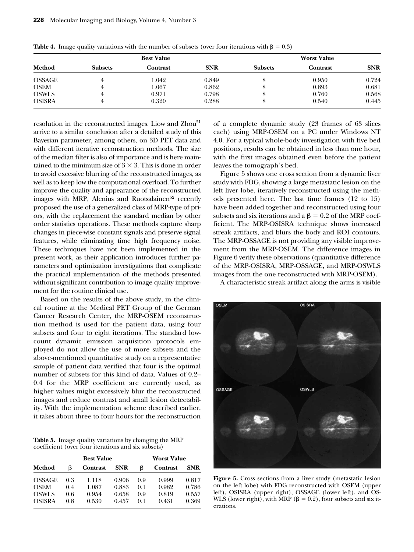| Method        | <b>Best Value</b> |          |            | <b>Worst Value</b> |          |            |
|---------------|-------------------|----------|------------|--------------------|----------|------------|
|               | <b>Subsets</b>    | Contrast | <b>SNR</b> | <b>Subsets</b>     | Contrast | <b>SNR</b> |
| <b>OSSAGE</b> | 4                 | 1.042    | 0.849      |                    | 0.950    | 0.724      |
| <b>OSEM</b>   | 4                 | 1.067    | 0.862      |                    | 0.893    | 0.681      |
| <b>OSWLS</b>  | 4                 | 0.971    | 0.798      |                    | 0.760    | 0.568      |
| <b>OSISRA</b> | 4                 | 0.320    | 0.288      |                    | 0.540    | 0.445      |

**Table 4.** Image quality variations with the number of subsets (over four iterations with  $\beta = 0.3$ )

resolution in the reconstructed images. Liow and Zhou<sup>51</sup> arrive to a similar conclusion after a detailed study of this Bayesian parameter, among others, on 3D PET data and with different iterative reconstruction methods. The size of the median filter is also of importance and is here maintained to the minimum size of  $3 \times 3$ . This is done in order to avoid excessive blurring of the reconstructed images, as well as to keep low the computational overload. To further improve the quality and appearance of the reconstructed images with MRP, Alenius and Ruotsalainen<sup>52</sup> recently proposed the use of a generalized class of MRP-type of priors, with the replacement the standard median by other order statistics operations. These methods capture sharp changes in piece-wise constant signals and preserve signal features, while eliminating time high frequency noise. These techniques have not been implemented in the present work, as their application introduces further parameters and optimization investigations that complicate the practical implementation of the methods presented without significant contribution to image quality improvement for the routine clinical use.

Based on the results of the above study, in the clinical routine at the Medical PET Group of the German Cancer Research Center, the MRP-OSEM reconstruction method is used for the patient data, using four subsets and four to eight iterations. The standard lowcount dynamic emission acquisition protocols employed do not allow the use of more subsets and the above-mentioned quantitative study on a representative sample of patient data verified that four is the optimal number of subsets for this kind of data. Values of 0.2– 0.4 for the MRP coefficient are currently used, as higher values might excessively blur the reconstructed images and reduce contrast and small lesion detectability. With the implementation scheme described earlier, it takes about three to four hours for the reconstruction

**Table 5.** Image quality variations by changing the MRP coefficient (over four iterations and six subsets)

| <b>Best Value</b> |          |            | <b>Worst Value</b> |          |       |
|-------------------|----------|------------|--------------------|----------|-------|
| ß                 | Contrast | <b>SNR</b> | ß                  | Contrast | SNR   |
| 03                | 1.118    | 0.906      | 0.9                | 0.999    | 0.817 |
| 0.4               | 1.087    | 0.883      | 0.1                | 0.982    | 0.786 |
| 0.6               | 0.954    | 0.658      | 0.9                | 0.819    | 0.557 |
| 0.8               | 0.530    | 0.457      | 0 <sub>1</sub>     | 0.431    | 0.369 |
|                   |          |            |                    |          |       |

of a complete dynamic study (23 frames of 63 slices each) using MRP-OSEM on a PC under Windows NT 4.0. For a typical whole-body investigation with five bed positions, results can be obtained in less than one hour, with the first images obtained even before the patient leaves the tomograph's bed.

Figure 5 shows one cross section from a dynamic liver study with FDG, showing a large metastatic lesion on the left liver lobe, iteratively reconstructed using the methods presented here. The last time frames (12 to 15) have been added together and reconstructed using four subsets and six iterations and a  $\beta = 0.2$  of the MRP coefficient. The MRP-OSISRA technique shows increased streak artifacts, and blurs the body and ROI contours. The MRP-OSSAGE is not providing any visible improvement from the MRP-OSEM. The difference images in Figure 6 verify these observations (quantitative difference of the MRP-OSISRA, MRP-OSSAGE, and MRP-OSWLS images from the one reconstructed with MRP-OSEM).

A characteristic streak artifact along the arms is visible



**Figure 5.** Cross sections from a liver study (metastatic lesion on the left lobe) with FDG reconstructed with OSEM (upper left), OSISRA (upper right), OSSAGE (lower left), and OS-WLS (lower right), with MRP ( $\beta = 0.2$ ), four subsets and six iterations.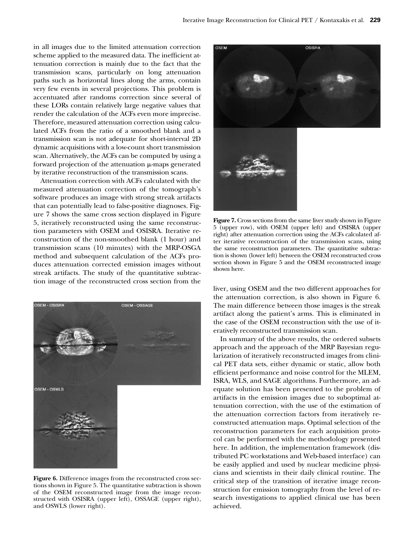in all images due to the limited attenuation correction scheme applied to the measured data. The inefficient attenuation correction is mainly due to the fact that the transmission scans, particularly on long attenuation paths such as horizontal lines along the arms, contain very few events in several projections. This problem is accentuated after randoms correction since several of these LORs contain relatively large negative values that render the calculation of the ACFs even more imprecise. Therefore, measured attenuation correction using calculated ACFs from the ratio of a smoothed blank and a transmission scan is not adequate for short-interval 2D dynamic acquisitions with a low-count short transmission scan. Alternatively, the ACFs can be computed by using a forward projection of the attenuation  $\mu$ -maps generated by iterative reconstruction of the transmission scans.

Attenuation correction with ACFs calculated with the measured attenuation correction of the tomograph's software produces an image with strong streak artifacts that can potentially lead to false-positive diagnoses. Figure 7 shows the same cross section displayed in Figure 5, iteratively reconstructed using the same reconstruction parameters with OSEM and OSISRA. Iterative reconstruction of the non-smoothed blank (1 hour) and transmission scans (10 minutes) with the MRP-OSGA method and subsequent calculation of the ACFs produces attenuation corrected emission images without streak artifacts. The study of the quantitative subtraction image of the reconstructed cross section from the



**Figure 6.** Difference images from the reconstructed cross sections shown in Figure 5. The quantitative subtraction is shown of the OSEM reconstructed image from the image reconstructed with OSISRA (upper left), OSSAGE (upper right), and OSWLS (lower right).



**Figure 7.** Cross sections from the same liver study shown in Figure 5 (upper row), with OSEM (upper left) and OSISRA (upper right) after attenuation correction using the ACFs calculated after iterative reconstruction of the transmission scans, using the same reconstruction parameters. The quantitative subtraction is shown (lower left) between the OSEM reconstructed cross section shown in Figure 5 and the OSEM reconstructed image shown here.

liver, using OSEM and the two different approaches for the attenuation correction, is also shown in Figure 6. The main difference between those images is the streak artifact along the patient's arms. This is eliminated in the case of the OSEM reconstruction with the use of iteratively reconstructed transmission scan.

In summary of the above results, the ordered subsets approach and the approach of the MRP Bayesian regularization of iteratively reconstructed images from clinical PET data sets, either dynamic or static, allow both efficient performance and noise control for the MLEM, ISRA, WLS, and SAGE algorithms. Furthermore, an adequate solution has been presented to the problem of artifacts in the emission images due to suboptimal attenuation correction, with the use of the estimation of the attenuation correction factors from iteratively reconstructed attenuation maps. Optimal selection of the reconstruction parameters for each acquisition protocol can be performed with the methodology presented here. In addition, the implementation framework (distributed PC workstations and Web-based interface) can be easily applied and used by nuclear medicine physicians and scientists in their daily clinical routine. The critical step of the transition of iterative image reconstruction for emission tomography from the level of research investigations to applied clinical use has been achieved.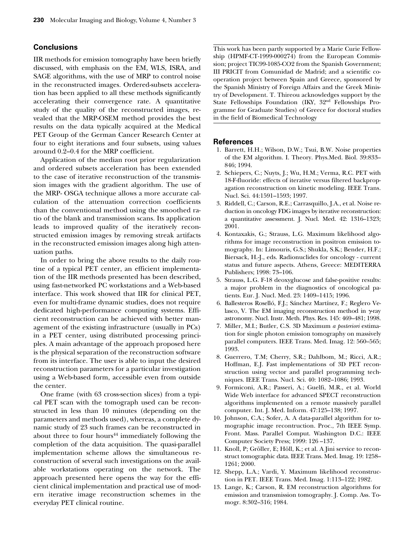# **Conclusions**

IIR methods for emission tomography have been briefly discussed, with emphasis on the EM, WLS, ISRA, and SAGE algorithms, with the use of MRP to control noise in the reconstructed images. Ordered-subsets acceleration has been applied to all these methods significantly accelerating their convergence rate. A quantitative study of the quality of the reconstructed images, revealed that the MRP-OSEM method provides the best results on the data typically acquired at the Medical PET Group of the German Cancer Research Center at four to eight iterations and four subsets, using values around 0.2–0.4 for the MRP coefficient.

Application of the median root prior regularization and ordered subsets acceleration has been extended to the case of iterative reconstruction of the transmission images with the gradient algorithm. The use of the MRP- OSGA technique allows a more accurate calculation of the attenuation correction coefficients than the conventional method using the smoothed ratio of the blank and transmission scans. Its application leads to improved quality of the iteratively reconstructed emission images by removing streak artifacts in the reconstructed emission images along high attenuation paths.

In order to bring the above results to the daily routine of a typical PET center, an efficient implementation of the IIR methods presented has been described, using fast-networked PC workstations and a Web-based interface. This work showed that IIR for clinical PET, even for multi-frame dynamic studies, does not require dedicated high-performance computing systems. Efficient reconstruction can be achieved with better management of the existing infrastructure (usually in PCs) in a PET center, using distributed processing principles. A main advantage of the approach proposed here is the physical separation of the reconstruction software from its interface. The user is able to input the desired reconstruction parameters for a particular investigation using a Web-based form, accessible even from outside the center.

One frame (with 63 cross-section slices) from a typical PET scan with the tomograph used can be reconstructed in less than 10 minutes (depending on the parameters and methods used), whereas, a complete dynamic study of 23 such frames can be reconstructed in about three to four hours $44$  immediately following the completion of the data acquisition. The quasi-parallel implementation scheme allows the simultaneous reconstruction of several such investigations on the available workstations operating on the network. The approach presented here opens the way for the efficient clinical implementation and practical use of modern iterative image reconstruction schemes in the everyday PET clinical routine.

This work has been partly supported by a Marie Curie Fellowship (HPMF-CT-1999-000274) from the European Commission; project TIC99-1085-CO2 from the Spanish Government; III PRICIT from Comunidad de Madrid; and a scientific cooperation project between Spain and Greece, sponsored by the Spanish Ministry of Foreign Affairs and the Greek Ministry of Development. T. Thireou acknowledges support by the State Fellowships Foundation (IKY, 32<sup>nd</sup> Fellowships Programme for Graduate Studies) of Greece for doctoral studies in the field of Biomedical Technology

#### **References**

- 1. Barrett, H.H.; Wilson, D.W.; Tsui, B.W. Noise properties of the EM algorithm. I. Theory. Phys.Med. Biol. 39:833– 846; 1994.
- 2. Schiepers, C.; Nuyts, J.; Wu, H.M.; Verma, R.C. PET with 18-F-fluoride: effects of iterative versus filtered backpropagation reconstruction on kinetic modeling. IEEE Trans. Nucl. Sci. 44:1591–1593; 1997.
- 3. Riddell, C.; Carson, R.E.; Carrasquillo, J.A., et al. Noise reduction in oncology FDG images by iterative reconstruction: a quantitative assessment. J. Nucl. Med. 42: 1316–1323; 2001.
- 4. Kontaxakis, G.; Strauss, L.G. Maximum likelihood algorithms for image reconstruction in positron emission tomography. In: Limouris, G.S.; Shukla, S.K.; Bender, H.F.; Biersack, H.-J., eds. Radionuclides for oncology - current status and future aspects. Athens, Greece: MEDITERRA Publishers; 1998: 73–106.
- 5. Strauss, L.G. F-18 deoxyglucose and false-positive results: a major problem in the diagnostics of oncological patients. Eur. J. Nucl. Med. 23: 1409–1415; 1996.
- 6. Ballesteros Roselló, F.J.; Sánchez Martínez, F.; Reglero Velasco, V. The EM imaging reconstruction method in  $\gamma$ -ray astronomy. Nucl. Instr. Meth. Phys. Res. 145: 469–481; 1998.
- 7. Miller, M.I.; Butler, C.S. 3D Maximum *a posteriori* estimation for single photon emission tomography on massively parallel computers. IEEE Trans. Med. Imag. 12: 560–565; 1993.
- 8. Guerrero, T.M; Cherry, S.R.; Dahlbom, M.; Ricci, A.R.; Hoffman, E.J. Fast implementations of 3D PET reconstruction using vector and parallel programming techniques. IEEE Trans. Nucl. Sci. 40: 1082–1086; 1993.
- 9. Formiconi, A.R.; Passeri, A.; Guelfi, M.R., et al. World Wide Web interface for advanced SPECT reconstruction algorithms implemented on a remote massively parallel computer. Int. J. Med. Inform. 47:125–138; 1997.
- 10. Johnson, C.A.; Sofer, A. A data-parallel algorithm for tomographic image recontruction. Proc., 7th IEEE Symp. Front. Mass. Parallel Comput. Washington D.C.: IEEE Computer Society Press; 1999: 126 –137.
- 11. Knoll, P; Gröller, E; Höll, K.; et al. A Jini service to reconstruct tomographic data. IEEE Trans. Med. Imag. 19: 1258– 1261; 2000.
- 12. Shepp, L.A.; Vardi, Y. Maximum likelihood reconstruction in PET. IEEE Trans. Med. Imag. 1:113–122; 1982.
- 13. Lange, K.; Carson, R. EM reconstruction algorithms for emission and transmission tomography. J. Comp. Ass. Tomogr. 8:302–316; 1984.